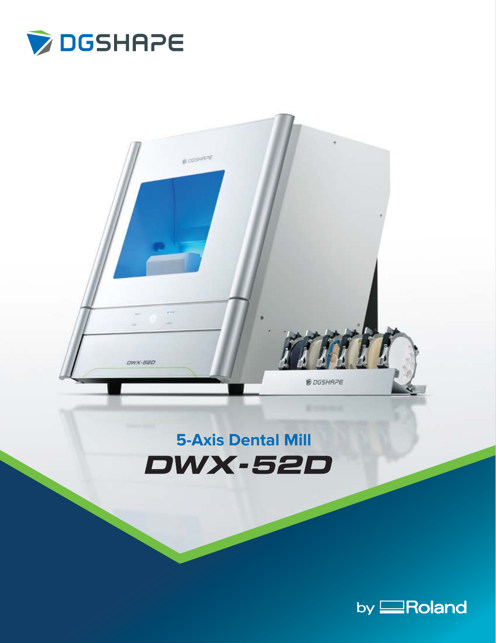



## **5-Axis Dental MillDWX-52D**

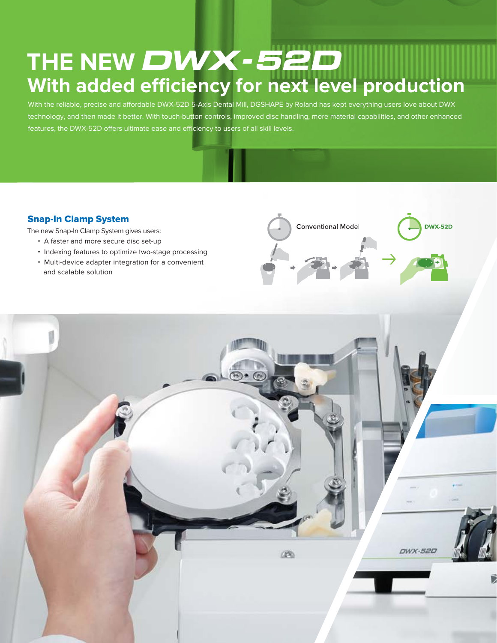# **With added efficiency for next level production** THE NEW DWX-52D

With the reliable, precise and affordable DWX-52D 5-Axis Dental Mill, DGSHAPE by Roland has kept everything users love about DWX technology, and then made it better. With touch-button controls, improved disc handling, more material capabilities, and other enhanced features, the DWX-52D offers ultimate ease and efficiency to users of all skill levels.

## Snap-In Clamp System

The new Snap-In Clamp System gives users:

- A faster and more secure disc set-up
- Indexing features to optimize two-stage processing
- Multi-device adapter integration for a convenient and scalable solution



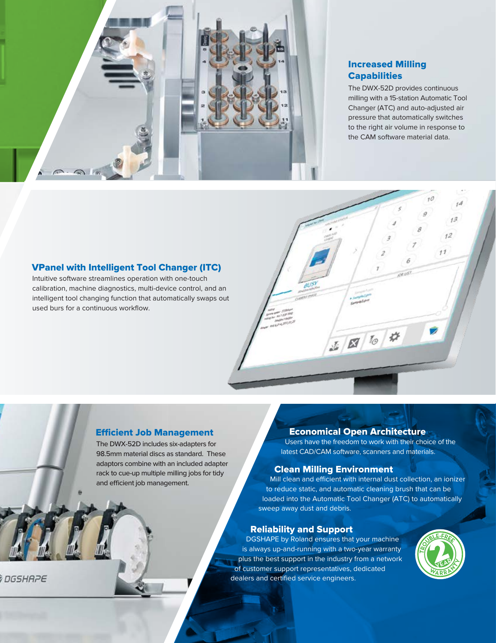

## Increased Milling **Capabilities**

The DWX-52D provides continuous milling with a 15-station Automatic Tool Changer (ATC) and auto-adjusted air pressure that automatically switches to the right air volume in response to the CAM software material data.

## VPanel with Intelligent Tool Changer (ITC)

Intuitive software streamlines operation with one-touch calibration, machine diagnostics, multi-device control, and an intelligent tool changing function that automatically swaps out used burs for a continuous workflow.



#### **Efficient Job Management**

The DWX-52D includes six-adapters for 98.5mm material discs as standard. These adaptors combine with an included adapter rack to cue-up multiple milling jobs for tidy and efficient job management.

## Economical Open Architecture

Users have the freedom to work with their choice of the latest CAD/CAM software, scanners and materials.

#### Clean Milling Environment

Mill clean and efficient with internal dust collection, an ionizer to reduce static, and automatic cleaning brush that can be loaded into the Automatic Tool Changer (ATC) to automatically sweep away dust and debris.

### Reliability and Support

DGSHAPE by Roland ensures that your machine is always up-and-running with a two-year warranty plus the best support in the industry from a network of customer support representatives, dedicated dealers and certified service engineers.



**DGSHAPE**